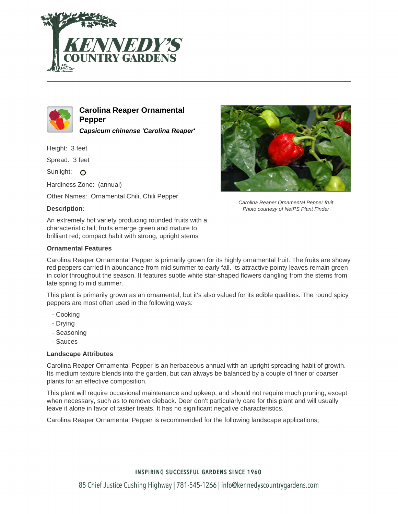



**Carolina Reaper Ornamental Pepper Capsicum chinense 'Carolina Reaper'**

Height: 3 feet

Spread: 3 feet

Sunlight: O

Hardiness Zone: (annual)

Other Names: Ornamental Chili, Chili Pepper

# **Description:**

An extremely hot variety producing rounded fruits with a characteristic tail; fruits emerge green and mature to brilliant red; compact habit with strong, upright stems

### **Ornamental Features**



Carolina Reaper Ornamental Pepper fruit Photo courtesy of NetPS Plant Finder

Carolina Reaper Ornamental Pepper is primarily grown for its highly ornamental fruit. The fruits are showy red peppers carried in abundance from mid summer to early fall. Its attractive pointy leaves remain green in color throughout the season. It features subtle white star-shaped flowers dangling from the stems from late spring to mid summer.

This plant is primarily grown as an ornamental, but it's also valued for its edible qualities. The round spicy peppers are most often used in the following ways:

- Cooking
- Drying
- Seasoning
- Sauces

#### **Landscape Attributes**

Carolina Reaper Ornamental Pepper is an herbaceous annual with an upright spreading habit of growth. Its medium texture blends into the garden, but can always be balanced by a couple of finer or coarser plants for an effective composition.

This plant will require occasional maintenance and upkeep, and should not require much pruning, except when necessary, such as to remove dieback. Deer don't particularly care for this plant and will usually leave it alone in favor of tastier treats. It has no significant negative characteristics.

Carolina Reaper Ornamental Pepper is recommended for the following landscape applications;

# **INSPIRING SUCCESSFUL GARDENS SINCE 1960**